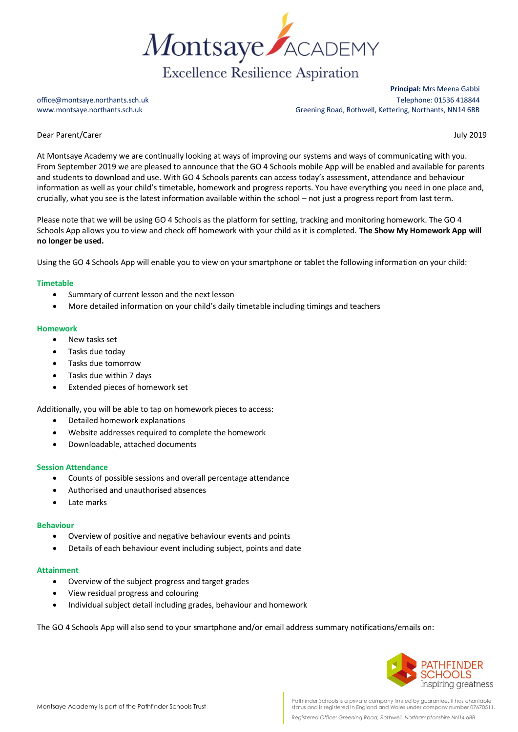

**Principal:** Mrs Meena Gabbi office@montsaye.northants.sch.uk Telephone: 01536 418844 www.montsaye.northants.sch.uk Greening Road, Rothwell, Kettering, Northants, NN14 6BB

Dear Parent/Carer July 2019

At Montsaye Academy we are continually looking at ways of improving our systems and ways of communicating with you. From September 2019 we are pleased to announce that the GO 4 Schools mobile App will be enabled and available for parents and students to download and use. With GO 4 Schools parents can access today's assessment, attendance and behaviour information as well as your child's timetable, homework and progress reports. You have everything you need in one place and, crucially, what you see is the latest information available within the school – not just a progress report from last term.

Please note that we will be using GO 4 Schools as the platform for setting, tracking and monitoring homework. The GO 4 Schools App allows you to view and check off homework with your child as it is completed. **The Show My Homework App will no longer be used.**

Using the GO 4 Schools App will enable you to view on your smartphone or tablet the following information on your child:

# **Timetable**

- Summary of current lesson and the next lesson
- More detailed information on your child's daily timetable including timings and teachers

## **Homework**

- New tasks set
- Tasks due today
- Tasks due tomorrow
- Tasks due within 7 days
- Extended pieces of homework set

Additionally, you will be able to tap on homework pieces to access:

- Detailed homework explanations
- Website addresses required to complete the homework
- Downloadable, attached documents

## **Session Attendance**

- Counts of possible sessions and overall percentage attendance
- Authorised and unauthorised absences
- Late marks

## **Behaviour**

- Overview of positive and negative behaviour events and points
- Details of each behaviour event including subject, points and date

## **Attainment**

- Overview of the subject progress and target grades
- View residual progress and colouring
- Individual subject detail including grades, behaviour and homework

The GO 4 Schools App will also send to your smartphone and/or email address summary notifications/emails on: